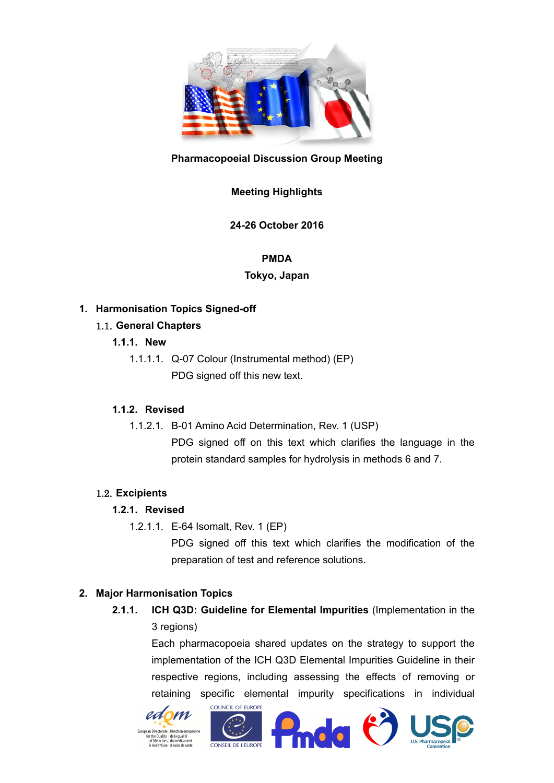

## **Pharmacopoeial Discussion Group Meeting**

# **Meeting Highlights**

**24-26 October 2016** 

#### **PMDA**

### **Tokyo, Japan**

## **1. Harmonisation Topics Signed-off**

## 1.1. **General Chapters**

- **1.1.1. New** 
	- 1.1.1.1. Q-07 Colour (Instrumental method) (EP) PDG signed off this new text.

# **1.1.2. Revised**

1.1.2.1. B-01 Amino Acid Determination, Rev. 1 (USP) PDG signed off on this text which clarifies the language in the protein standard samples for hydrolysis in methods 6 and 7.

# 1.2. **Excipients**

### **1.2.1. Revised**

1.2.1.1. E-64 Isomalt, Rev. 1 (EP)

PDG signed off this text which clarifies the modification of the preparation of test and reference solutions.

### **2. Major Harmonisation Topics**

**2.1.1. ICH Q3D: Guideline for Elemental Impurities** (Implementation in the 3 regions)

> Each pharmacopoeia shared updates on the strategy to support the implementation of the ICH Q3D Elemental Impurities Guideline in their respective regions, including assessing the effects of removing or retaining specific elemental impurity specifications in individual







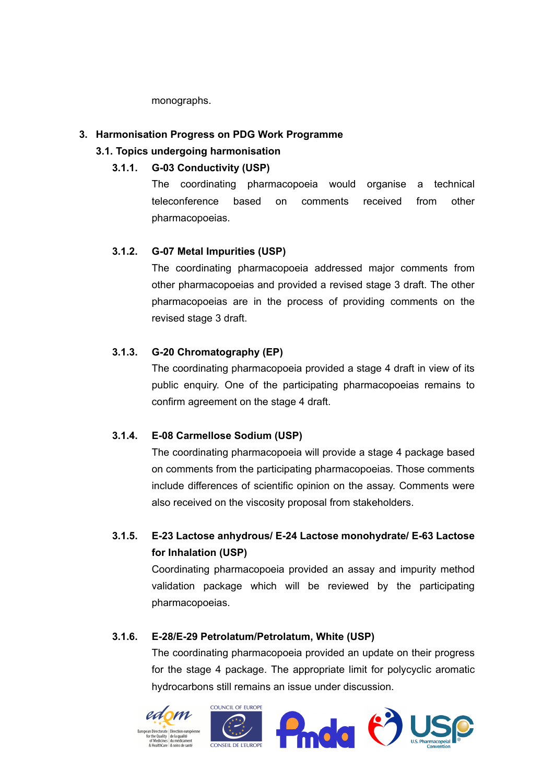monographs.

### **3. Harmonisation Progress on PDG Work Programme**

### **3.1. Topics undergoing harmonisation**

#### **3.1.1. G-03 Conductivity (USP)**

The coordinating pharmacopoeia would organise a technical teleconference based on comments received from other pharmacopoeias.

### **3.1.2. G-07 Metal Impurities (USP)**

The coordinating pharmacopoeia addressed major comments from other pharmacopoeias and provided a revised stage 3 draft. The other pharmacopoeias are in the process of providing comments on the revised stage 3 draft.

### **3.1.3. G-20 Chromatography (EP)**

The coordinating pharmacopoeia provided a stage 4 draft in view of its public enquiry. One of the participating pharmacopoeias remains to confirm agreement on the stage 4 draft.

### **3.1.4. E-08 Carmellose Sodium (USP)**

The coordinating pharmacopoeia will provide a stage 4 package based on comments from the participating pharmacopoeias. Those comments include differences of scientific opinion on the assay. Comments were also received on the viscosity proposal from stakeholders.

# **3.1.5. E-23 Lactose anhydrous/ E-24 Lactose monohydrate/ E-63 Lactose for Inhalation (USP)**

Coordinating pharmacopoeia provided an assay and impurity method validation package which will be reviewed by the participating pharmacopoeias.

#### **3.1.6. E-28/E-29 Petrolatum/Petrolatum, White (USP)**

The coordinating pharmacopoeia provided an update on their progress for the stage 4 package. The appropriate limit for polycyclic aromatic hydrocarbons still remains an issue under discussion.

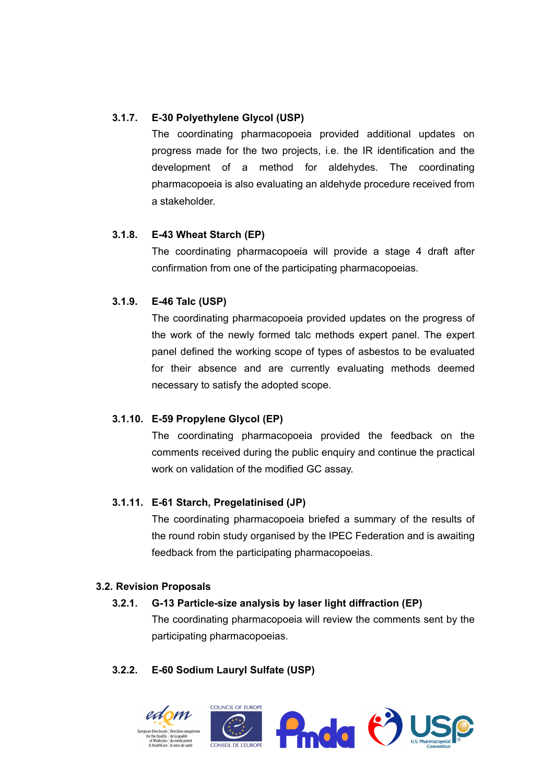## **3.1.7. E-30 Polyethylene Glycol (USP)**

The coordinating pharmacopoeia provided additional updates on progress made for the two projects, i.e. the IR identification and the development of a method for aldehydes. The coordinating pharmacopoeia is also evaluating an aldehyde procedure received from a stakeholder.

## **3.1.8. E-43 Wheat Starch (EP)**

The coordinating pharmacopoeia will provide a stage 4 draft after confirmation from one of the participating pharmacopoeias.

## **3.1.9. E-46 Talc (USP)**

The coordinating pharmacopoeia provided updates on the progress of the work of the newly formed talc methods expert panel. The expert panel defined the working scope of types of asbestos to be evaluated for their absence and are currently evaluating methods deemed necessary to satisfy the adopted scope.

### **3.1.10. E-59 Propylene Glycol (EP)**

The coordinating pharmacopoeia provided the feedback on the comments received during the public enquiry and continue the practical work on validation of the modified GC assay.

### **3.1.11. E-61 Starch, Pregelatinised (JP)**

The coordinating pharmacopoeia briefed a summary of the results of the round robin study organised by the IPEC Federation and is awaiting feedback from the participating pharmacopoeias.

### **3.2. Revision Proposals**

# **3.2.1. G-13 Particle-size analysis by laser light diffraction (EP)**

The coordinating pharmacopoeia will review the comments sent by the participating pharmacopoeias.

# **3.2.2. E-60 Sodium Lauryl Sulfate (USP)**